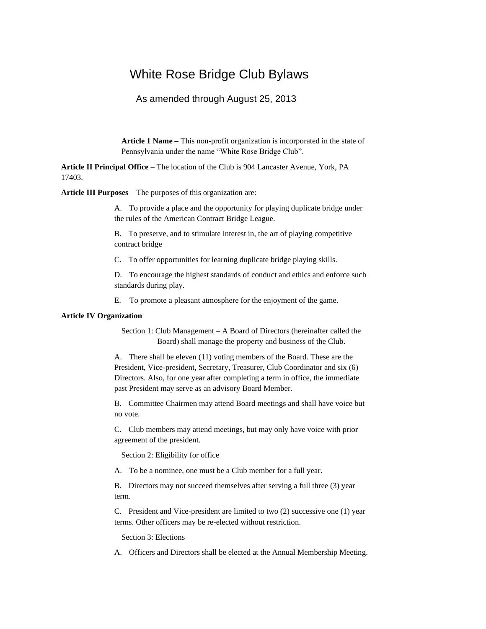# White Rose Bridge Club Bylaws

## As amended through August 25, 2013

**Article 1 Name –** This non-profit organization is incorporated in the state of Pennsylvania under the name "White Rose Bridge Club".

**Article II Principal Office** – The location of the Club is 904 Lancaster Avenue, York, PA 17403.

**Article III Purposes** – The purposes of this organization are:

A. To provide a place and the opportunity for playing duplicate bridge under the rules of the American Contract Bridge League.

B. To preserve, and to stimulate interest in, the art of playing competitive contract bridge

C. To offer opportunities for learning duplicate bridge playing skills.

D. To encourage the highest standards of conduct and ethics and enforce such standards during play.

E. To promote a pleasant atmosphere for the enjoyment of the game.

## **Article IV Organization**

Section 1: Club Management – A Board of Directors (hereinafter called the Board) shall manage the property and business of the Club.

A. There shall be eleven (11) voting members of the Board. These are the President, Vice-president, Secretary, Treasurer, Club Coordinator and six (6) Directors. Also, for one year after completing a term in office, the immediate past President may serve as an advisory Board Member.

B. Committee Chairmen may attend Board meetings and shall have voice but no vote.

C. Club members may attend meetings, but may only have voice with prior agreement of the president.

Section 2: Eligibility for office

A. To be a nominee, one must be a Club member for a full year.

B. Directors may not succeed themselves after serving a full three (3) year term.

C. President and Vice-president are limited to two (2) successive one (1) year terms. Other officers may be re-elected without restriction.

Section 3: Elections

A. Officers and Directors shall be elected at the Annual Membership Meeting.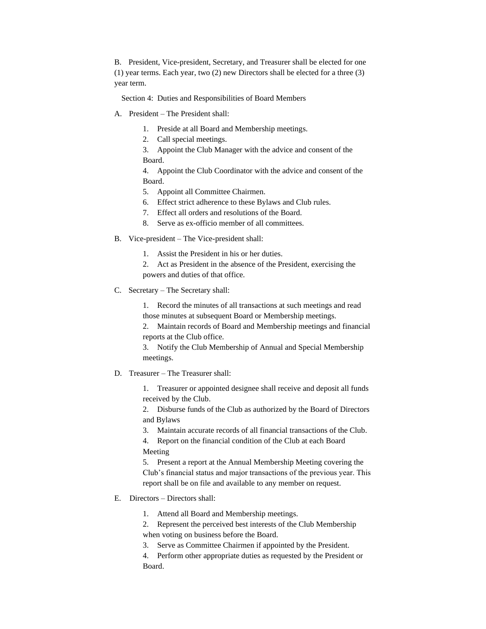B. President, Vice-president, Secretary, and Treasurer shall be elected for one (1) year terms. Each year, two (2) new Directors shall be elected for a three (3) year term.

Section 4: Duties and Responsibilities of Board Members

- A. President The President shall:
	- 1. Preside at all Board and Membership meetings.
	- 2. Call special meetings.

3. Appoint the Club Manager with the advice and consent of the Board.

4. Appoint the Club Coordinator with the advice and consent of the Board.

- 5. Appoint all Committee Chairmen.
- 6. Effect strict adherence to these Bylaws and Club rules.
- 7. Effect all orders and resolutions of the Board.
- 8. Serve as ex-officio member of all committees.
- B. Vice-president The Vice-president shall:
	- 1. Assist the President in his or her duties.
	- 2. Act as President in the absence of the President, exercising the powers and duties of that office.
- C. Secretary The Secretary shall:
	- 1. Record the minutes of all transactions at such meetings and read those minutes at subsequent Board or Membership meetings.

2. Maintain records of Board and Membership meetings and financial reports at the Club office.

3. Notify the Club Membership of Annual and Special Membership meetings.

D. Treasurer – The Treasurer shall:

1. Treasurer or appointed designee shall receive and deposit all funds received by the Club.

2. Disburse funds of the Club as authorized by the Board of Directors and Bylaws

3. Maintain accurate records of all financial transactions of the Club.

4. Report on the financial condition of the Club at each Board Meeting

5. Present a report at the Annual Membership Meeting covering the Club's financial status and major transactions of the previous year. This report shall be on file and available to any member on request.

E. Directors – Directors shall:

1. Attend all Board and Membership meetings.

2. Represent the perceived best interests of the Club Membership when voting on business before the Board.

3. Serve as Committee Chairmen if appointed by the President.

4. Perform other appropriate duties as requested by the President or Board.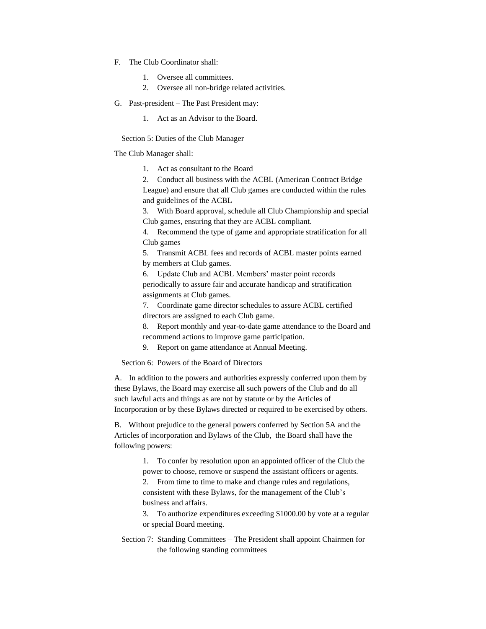- F. The Club Coordinator shall:
	- 1. Oversee all committees.
	- 2. Oversee all non-bridge related activities.
- G. Past-president The Past President may:
	- 1. Act as an Advisor to the Board.

Section 5: Duties of the Club Manager

The Club Manager shall:

1. Act as consultant to the Board

2. Conduct all business with the ACBL (American Contract Bridge League) and ensure that all Club games are conducted within the rules and guidelines of the ACBL

3. With Board approval, schedule all Club Championship and special Club games, ensuring that they are ACBL compliant.

4. Recommend the type of game and appropriate stratification for all Club games

5. Transmit ACBL fees and records of ACBL master points earned by members at Club games.

6. Update Club and ACBL Members' master point records periodically to assure fair and accurate handicap and stratification assignments at Club games.

7. Coordinate game director schedules to assure ACBL certified directors are assigned to each Club game.

8. Report monthly and year-to-date game attendance to the Board and recommend actions to improve game participation.

9. Report on game attendance at Annual Meeting.

Section 6: Powers of the Board of Directors

A. In addition to the powers and authorities expressly conferred upon them by these Bylaws, the Board may exercise all such powers of the Club and do all such lawful acts and things as are not by statute or by the Articles of Incorporation or by these Bylaws directed or required to be exercised by others.

B. Without prejudice to the general powers conferred by Section 5A and the Articles of incorporation and Bylaws of the Club, the Board shall have the following powers:

> 1. To confer by resolution upon an appointed officer of the Club the power to choose, remove or suspend the assistant officers or agents.

2. From time to time to make and change rules and regulations, consistent with these Bylaws, for the management of the Club's business and affairs.

3. To authorize expenditures exceeding \$1000.00 by vote at a regular or special Board meeting.

Section 7: Standing Committees – The President shall appoint Chairmen for the following standing committees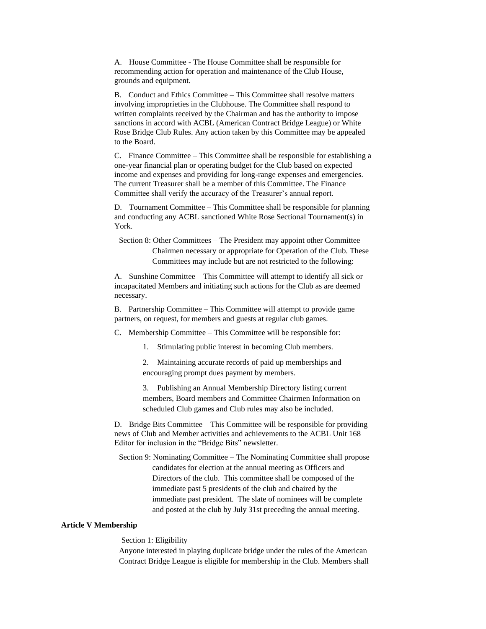A. House Committee - The House Committee shall be responsible for recommending action for operation and maintenance of the Club House, grounds and equipment.

B. Conduct and Ethics Committee – This Committee shall resolve matters involving improprieties in the Clubhouse. The Committee shall respond to written complaints received by the Chairman and has the authority to impose sanctions in accord with ACBL (American Contract Bridge League) or White Rose Bridge Club Rules. Any action taken by this Committee may be appealed to the Board.

C. Finance Committee – This Committee shall be responsible for establishing a one-year financial plan or operating budget for the Club based on expected income and expenses and providing for long-range expenses and emergencies. The current Treasurer shall be a member of this Committee. The Finance Committee shall verify the accuracy of the Treasurer's annual report.

D. Tournament Committee – This Committee shall be responsible for planning and conducting any ACBL sanctioned White Rose Sectional Tournament(s) in York.

Section 8: Other Committees – The President may appoint other Committee Chairmen necessary or appropriate for Operation of the Club. These Committees may include but are not restricted to the following:

A. Sunshine Committee – This Committee will attempt to identify all sick or incapacitated Members and initiating such actions for the Club as are deemed necessary.

B. Partnership Committee – This Committee will attempt to provide game partners, on request, for members and guests at regular club games.

C. Membership Committee – This Committee will be responsible for:

1. Stimulating public interest in becoming Club members.

2. Maintaining accurate records of paid up memberships and encouraging prompt dues payment by members.

3. Publishing an Annual Membership Directory listing current members, Board members and Committee Chairmen Information on scheduled Club games and Club rules may also be included.

D. Bridge Bits Committee – This Committee will be responsible for providing news of Club and Member activities and achievements to the ACBL Unit 168 Editor for inclusion in the "Bridge Bits" newsletter.

Section 9: Nominating Committee – The Nominating Committee shall propose candidates for election at the annual meeting as Officers and Directors of the club. This committee shall be composed of the immediate past 5 presidents of the club and chaired by the immediate past president. The slate of nominees will be complete and posted at the club by July 31st preceding the annual meeting.

#### **Article V Membership**

Section 1: Eligibility

Anyone interested in playing duplicate bridge under the rules of the American Contract Bridge League is eligible for membership in the Club. Members shall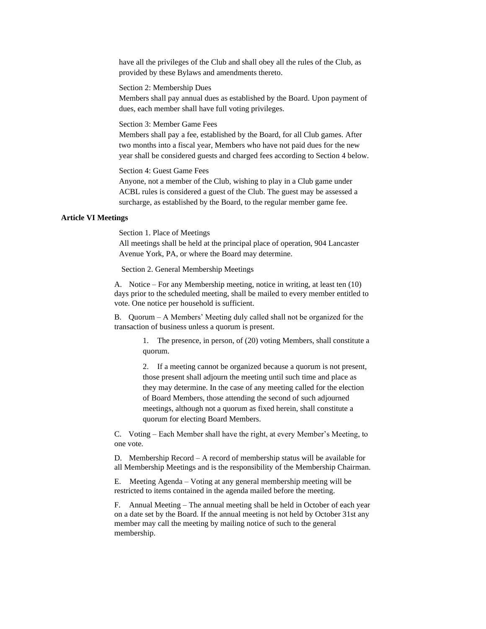have all the privileges of the Club and shall obey all the rules of the Club, as provided by these Bylaws and amendments thereto.

Section 2: Membership Dues

Members shall pay annual dues as established by the Board. Upon payment of dues, each member shall have full voting privileges.

Section 3: Member Game Fees

Members shall pay a fee, established by the Board, for all Club games. After two months into a fiscal year, Members who have not paid dues for the new year shall be considered guests and charged fees according to Section 4 below.

Section 4: Guest Game Fees

Anyone, not a member of the Club, wishing to play in a Club game under ACBL rules is considered a guest of the Club. The guest may be assessed a surcharge, as established by the Board, to the regular member game fee.

#### **Article VI Meetings**

Section 1. Place of Meetings

All meetings shall be held at the principal place of operation, 904 Lancaster Avenue York, PA, or where the Board may determine.

Section 2. General Membership Meetings

A. Notice – For any Membership meeting, notice in writing, at least ten (10) days prior to the scheduled meeting, shall be mailed to every member entitled to vote. One notice per household is sufficient.

B. Quorum – A Members' Meeting duly called shall not be organized for the transaction of business unless a quorum is present.

> 1. The presence, in person, of (20) voting Members, shall constitute a quorum.

2. If a meeting cannot be organized because a quorum is not present, those present shall adjourn the meeting until such time and place as they may determine. In the case of any meeting called for the election of Board Members, those attending the second of such adjourned meetings, although not a quorum as fixed herein, shall constitute a quorum for electing Board Members.

C. Voting – Each Member shall have the right, at every Member's Meeting, to one vote.

D. Membership Record – A record of membership status will be available for all Membership Meetings and is the responsibility of the Membership Chairman.

E. Meeting Agenda – Voting at any general membership meeting will be restricted to items contained in the agenda mailed before the meeting.

F. Annual Meeting – The annual meeting shall be held in October of each year on a date set by the Board. If the annual meeting is not held by October 31st any member may call the meeting by mailing notice of such to the general membership.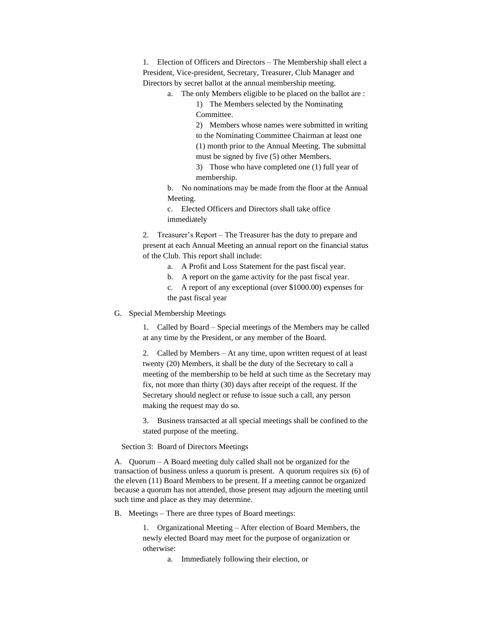1. Election of Officers and Directors – The Membership shall elect a President, Vice-president, Secretary, Treasurer, Club Manager and Directors by secret ballot at the annual membership meeting.

a. The only Members eligible to be placed on the ballot are :

1) The Members selected by the Nominating Committee.

2) Members whose names were submitted in writing to the Nominating Committee Chairman at least one (1) month prior to the Annual Meeting. The submittal

must be signed by five (5) other Members.

3) Those who have completed one (1) full year of membership.

b. No nominations may be made from the floor at the Annual Meeting.

c. Elected Officers and Directors shall take office immediately

2. Treasurer's Report – The Treasurer has the duty to prepare and present at each Annual Meeting an annual report on the financial status of the Club. This report shall include:

- a. A Profit and Loss Statement for the past fiscal year.
- b. A report on the game activity for the past fiscal year.

c. A report of any exceptional (over \$1000.00) expenses for the past fiscal year

G. Special Membership Meetings

1. Called by Board – Special meetings of the Members may be called at any time by the President, or any member of the Board.

2. Called by Members – At any time, upon written request of at least twenty (20) Members, it shall be the duty of the Secretary to call a meeting of the membership to be held at such time as the Secretary may fix, not more than thirty (30) days after receipt of the request. If the Secretary should neglect or refuse to issue such a call, any person making the request may do so.

3. Business transacted at all special meetings shall be confined to the stated purpose of the meeting.

Section 3: Board of Directors Meetings

A. Quorum – A Board meeting duly called shall not be organized for the transaction of business unless a quorum is present. A quorum requires six (6) of the eleven (11) Board Members to be present. If a meeting cannot be organized because a quorum has not attended, those present may adjourn the meeting until such time and place as they may determine.

B. Meetings – There are three types of Board meetings:

1. Organizational Meeting – After election of Board Members, the newly elected Board may meet for the purpose of organization or otherwise:

a. Immediately following their election, or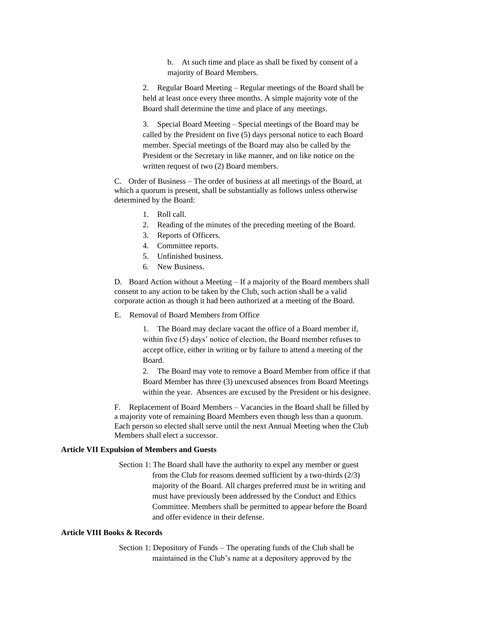b. At such time and place as shall be fixed by consent of a majority of Board Members.

2. Regular Board Meeting – Regular meetings of the Board shall be held at least once every three months. A simple majority vote of the Board shall determine the time and place of any meetings.

3. Special Board Meeting – Special meetings of the Board may be called by the President on five (5) days personal notice to each Board member. Special meetings of the Board may also be called by the President or the Secretary in like manner, and on like notice on the written request of two (2) Board members.

C. Order of Business – The order of business at all meetings of the Board, at which a quorum is present, shall be substantially as follows unless otherwise determined by the Board:

- 1. Roll call.
- 2. Reading of the minutes of the preceding meeting of the Board.
- 3. Reports of Officers.
- 4. Committee reports.
- 5. Unfinished business.
- 6. New Business.

D. Board Action without a Meeting – If a majority of the Board members shall consent to any action to be taken by the Club, such action shall be a valid corporate action as though it had been authorized at a meeting of the Board.

E. Removal of Board Members from Office

1. The Board may declare vacant the office of a Board member if, within five (5) days' notice of election, the Board member refuses to accept office, either in writing or by failure to attend a meeting of the Board.

2. The Board may vote to remove a Board Member from office if that Board Member has three (3) unexcused absences from Board Meetings within the year. Absences are excused by the President or his designee.

F. Replacement of Board Members – Vacancies in the Board shall be filled by a majority vote of remaining Board Members even though less than a quorum. Each person so elected shall serve until the next Annual Meeting when the Club Members shall elect a successor.

#### **Article VII Expulsion of Members and Guests**

Section 1: The Board shall have the authority to expel any member or guest from the Club for reasons deemed sufficient by a two-thirds (2/3) majority of the Board. All charges preferred must be in writing and must have previously been addressed by the Conduct and Ethics Committee. Members shall be permitted to appear before the Board and offer evidence in their defense.

#### **Article VIII Books & Records**

Section 1: Depository of Funds – The operating funds of the Club shall be maintained in the Club's name at a depository approved by the